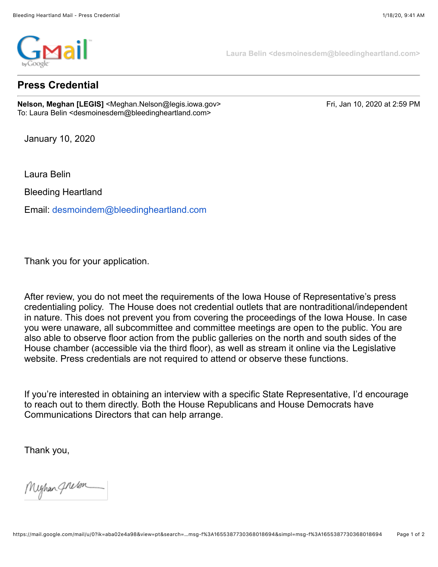

**Press Credential**

**Nelson, Meghan [LEGIS]** <Meghan.Nelson@legis.iowa.gov> Fri, Jan 10, 2020 at 2:59 PM To: Laura Belin <desmoinesdem@bleedingheartland.com>

**Laura Belin <desmoinesdem@bleedingheartland.com>**

January 10, 2020

Laura Belin

Bleeding Heartland

Email: [desmoindem@bleedingheartland.com](mailto:desmoindem@bleedingheartland.com)

Thank you for your application.

After review, you do not meet the requirements of the Iowa House of Representative's press credentialing policy. The House does not credential outlets that are nontraditional/independent in nature. This does not prevent you from covering the proceedings of the Iowa House. In case you were unaware, all subcommittee and committee meetings are open to the public. You are also able to observe floor action from the public galleries on the north and south sides of the House chamber (accessible via the third floor), as well as stream it online via the Legislative website. Press credentials are not required to attend or observe these functions.

If you're interested in obtaining an interview with a specific State Representative, I'd encourage to reach out to them directly. Both the House Republicans and House Democrats have Communications Directors that can help arrange.

Thank you,

Mighan *Ghelon*